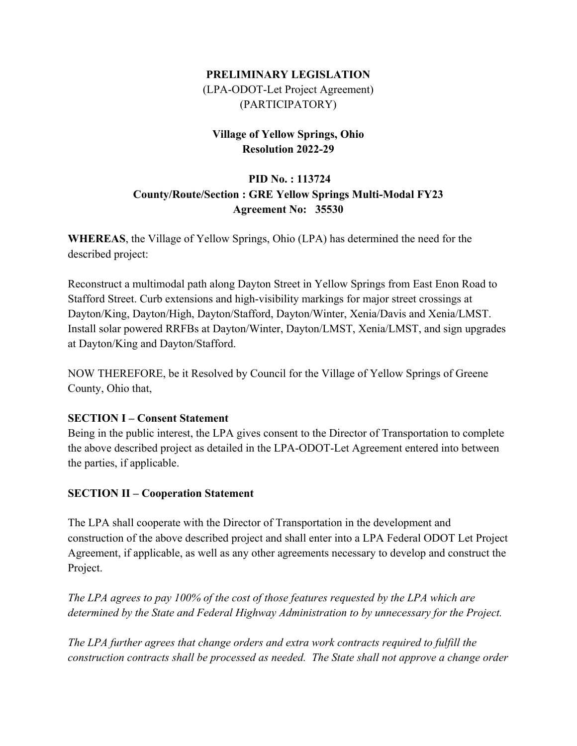## **PRELIMINARY LEGISLATION**  (LPA-ODOT-Let Project Agreement) (PARTICIPATORY)

### **Village of Yellow Springs, Ohio Resolution 2022-29**

# **PID No. : 113724 County/Route/Section : GRE Yellow Springs Multi-Modal FY23 Agreement No: 35530**

**WHEREAS**, the Village of Yellow Springs, Ohio (LPA) has determined the need for the described project:

Reconstruct a multimodal path along Dayton Street in Yellow Springs from East Enon Road to Stafford Street. Curb extensions and high-visibility markings for major street crossings at Dayton/King, Dayton/High, Dayton/Stafford, Dayton/Winter, Xenia/Davis and Xenia/LMST. Install solar powered RRFBs at Dayton/Winter, Dayton/LMST, Xenia/LMST, and sign upgrades at Dayton/King and Dayton/Stafford.

NOW THEREFORE, be it Resolved by Council for the Village of Yellow Springs of Greene County, Ohio that,

#### **SECTION I – Consent Statement**

Being in the public interest, the LPA gives consent to the Director of Transportation to complete the above described project as detailed in the LPA-ODOT-Let Agreement entered into between the parties, if applicable.

### **SECTION II – Cooperation Statement**

The LPA shall cooperate with the Director of Transportation in the development and construction of the above described project and shall enter into a LPA Federal ODOT Let Project Agreement, if applicable, as well as any other agreements necessary to develop and construct the Project.

*The LPA agrees to pay 100% of the cost of those features requested by the LPA which are determined by the State and Federal Highway Administration to by unnecessary for the Project.* 

*The LPA further agrees that change orders and extra work contracts required to fulfill the construction contracts shall be processed as needed. The State shall not approve a change order*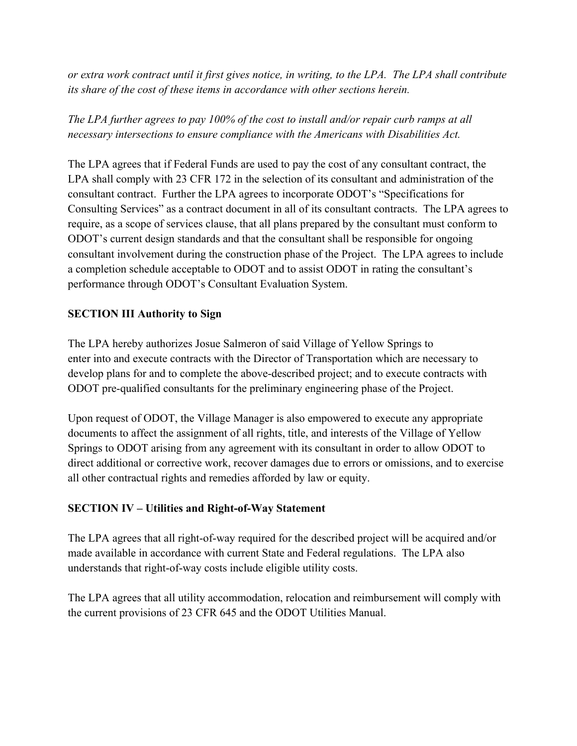*or extra work contract until it first gives notice, in writing, to the LPA. The LPA shall contribute its share of the cost of these items in accordance with other sections herein.* 

*The LPA further agrees to pay 100% of the cost to install and/or repair curb ramps at all necessary intersections to ensure compliance with the Americans with Disabilities Act.*

The LPA agrees that if Federal Funds are used to pay the cost of any consultant contract, the LPA shall comply with 23 CFR 172 in the selection of its consultant and administration of the consultant contract. Further the LPA agrees to incorporate ODOT's "Specifications for Consulting Services" as a contract document in all of its consultant contracts. The LPA agrees to require, as a scope of services clause, that all plans prepared by the consultant must conform to ODOT's current design standards and that the consultant shall be responsible for ongoing consultant involvement during the construction phase of the Project. The LPA agrees to include a completion schedule acceptable to ODOT and to assist ODOT in rating the consultant's performance through ODOT's Consultant Evaluation System.

### **SECTION III Authority to Sign**

The LPA hereby authorizes Josue Salmeron of said Village of Yellow Springs to enter into and execute contracts with the Director of Transportation which are necessary to develop plans for and to complete the above-described project; and to execute contracts with ODOT pre-qualified consultants for the preliminary engineering phase of the Project.

Upon request of ODOT, the Village Manager is also empowered to execute any appropriate documents to affect the assignment of all rights, title, and interests of the Village of Yellow Springs to ODOT arising from any agreement with its consultant in order to allow ODOT to direct additional or corrective work, recover damages due to errors or omissions, and to exercise all other contractual rights and remedies afforded by law or equity.

### **SECTION IV – Utilities and Right-of-Way Statement**

The LPA agrees that all right-of-way required for the described project will be acquired and/or made available in accordance with current State and Federal regulations. The LPA also understands that right-of-way costs include eligible utility costs.

The LPA agrees that all utility accommodation, relocation and reimbursement will comply with the current provisions of 23 CFR 645 and the ODOT Utilities Manual.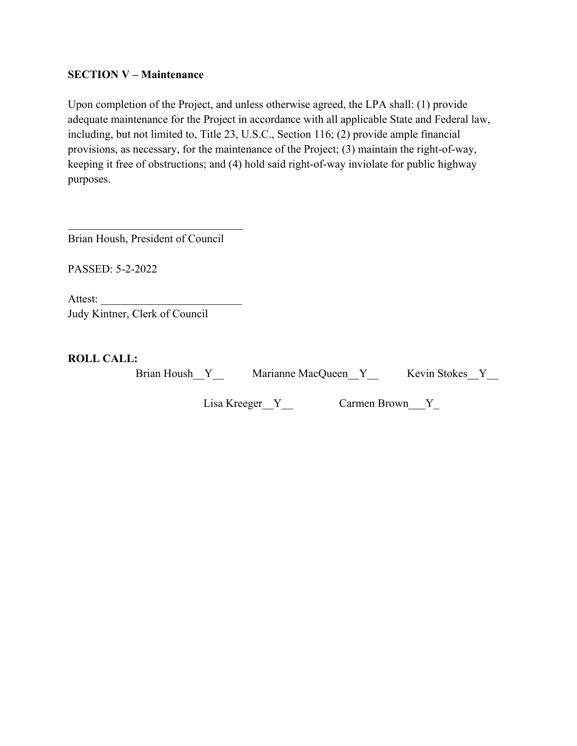#### **SECTION V – Maintenance**

Upon completion of the Project, and unless otherwise agreed, the LPA shall: (1) provide adequate maintenance for the Project in accordance with all applicable State and Federal law, including, but not limited to, Title 23, U.S.C., Section 116; (2) provide ample financial provisions, as necessary, for the maintenance of the Project; (3) maintain the right-of-way, keeping it free of obstructions; and (4) hold said right-of-way inviolate for public highway purposes.

Brian Housh, President of Council

 $\mathcal{L}_\text{max}$  and  $\mathcal{L}_\text{max}$  and  $\mathcal{L}_\text{max}$  and  $\mathcal{L}_\text{max}$ 

PASSED: 5-2-2022

Attest: Judy Kintner, Clerk of Council

**ROLL CALL:**

Brian Housh Y Marianne MacQueen Y Kevin Stokes Y

Lisa Kreeger\_Y\_\_ Carmen Brown\_Y\_